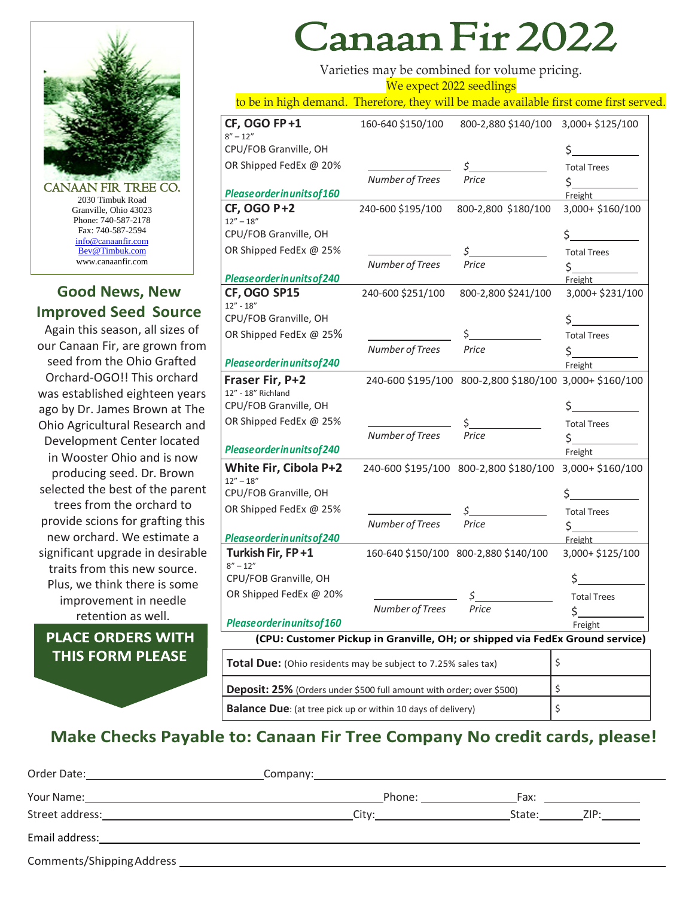

CANAAN FIR TREE CO. 2030 Timbuk Road Granville, Ohio 43023 Phone: 740-587-2178 Fax: 740-587-2594 [info@canaanfir.com](mailto:info@canaanfir.com) Bev@Timbuk.com www.canaanfir.com

## **Good News, New Improved Seed Source**

Again this season, all sizes of our Canaan Fir, are grown from seed from the Ohio Grafted Orchard-OGO!! This orchard was established eighteen years ago by Dr. James Brown at The Ohio Agricultural Research and Development Center located in Wooster Ohio and is now producing seed. Dr. Brown selected the best of the parent trees from the orchard to provide scions for grafting this new orchard. We estimate a significant upgrade in desirable traits from this new source. Plus, we think there is some improvement in needle retention as well.

## **PLACE ORDERS WITH THIS FORM PLEASE**

## Canaan Fir 2022

Varieties may be combined for volume pricing. We expect 2022 seedlings

to be in high demand. Therefore, they will be made available first come first served.

| <b>CF, OGO FP+1</b><br>$8'' - 12''$                                          | 160-640 \$150/100 | 800-2,880 \$140/100                                    | 3,000+ \$125/100   |  |  |
|------------------------------------------------------------------------------|-------------------|--------------------------------------------------------|--------------------|--|--|
| CPU/FOB Granville, OH                                                        |                   |                                                        | \$.                |  |  |
| OR Shipped FedEx @ 20%                                                       |                   | \$                                                     | <b>Total Trees</b> |  |  |
|                                                                              | Number of Trees   | Price                                                  | \$.                |  |  |
| Please order in units of 160                                                 |                   |                                                        | Freight            |  |  |
| <b>CF, OGO P+2</b>                                                           | 240-600 \$195/100 | 800-2,800 \$180/100                                    | 3,000+ \$160/100   |  |  |
| $12'' - 18''$                                                                |                   |                                                        |                    |  |  |
| CPU/FOB Granville, OH                                                        |                   |                                                        | \$                 |  |  |
| OR Shipped FedEx @ 25%                                                       |                   | \$_                                                    | <b>Total Trees</b> |  |  |
|                                                                              | Number of Trees   | Price                                                  | \$.                |  |  |
| Please order in units of 240                                                 |                   |                                                        | Freight            |  |  |
| CF, OGO SP15<br>$12'' - 18''$                                                | 240-600 \$251/100 | 800-2,800 \$241/100                                    | 3,000+ \$231/100   |  |  |
| CPU/FOB Granville, OH                                                        |                   |                                                        | \$                 |  |  |
| OR Shipped FedEx @ 25%                                                       |                   | \$.                                                    | <b>Total Trees</b> |  |  |
|                                                                              | Number of Trees   | Price                                                  | \$.                |  |  |
| Please order in units of 240                                                 |                   |                                                        | Freight            |  |  |
| Fraser Fir, P+2<br>12" - 18" Richland                                        |                   | 240-600 \$195/100 800-2,800 \$180/100 3,000+ \$160/100 |                    |  |  |
| CPU/FOB Granville, OH                                                        |                   |                                                        | \$.                |  |  |
| OR Shipped FedEx @ 25%                                                       |                   |                                                        | <b>Total Trees</b> |  |  |
|                                                                              | Number of Trees   | Price                                                  | \$_                |  |  |
| Please order in units of 240                                                 |                   |                                                        | Freight            |  |  |
| White Fir, Cibola P+2<br>$12'' - 18''$                                       |                   | 240-600 \$195/100 800-2,800 \$180/100 3,000+ \$160/100 |                    |  |  |
| CPU/FOB Granville, OH                                                        |                   |                                                        |                    |  |  |
| OR Shipped FedEx @ 25%                                                       |                   |                                                        | <b>Total Trees</b> |  |  |
|                                                                              | Number of Trees   | Price                                                  | \$.                |  |  |
| Please order in units of 240                                                 |                   |                                                        | Freight            |  |  |
| Turkish Fir, FP+1<br>$8'' - 12''$                                            |                   | 160-640 \$150/100 800-2,880 \$140/100                  | 3,000+ \$125/100   |  |  |
| CPU/FOB Granville, OH                                                        |                   |                                                        |                    |  |  |
| OR Shipped FedEx @ 20%                                                       |                   |                                                        | <b>Total Trees</b> |  |  |
|                                                                              | Number of Trees   | Price                                                  | \$.                |  |  |
| Please order in units of 160                                                 |                   |                                                        | Freight            |  |  |
| (CPU: Customer Pickup in Granville, OH; or shipped via FedEx Ground service) |                   |                                                        |                    |  |  |
| <b>Total Due:</b> (Ohio residents may be subject to 7.25% sales tax)         |                   |                                                        | \$                 |  |  |
| <b>Deposit: 25%</b> (Orders under \$500 full amount with order; over \$500)  |                   |                                                        | \$                 |  |  |

## **Make Checks Payable to: Canaan Fir Tree Company No credit cards, please!**

**Balance Due**: (at tree pick up or within 10 days of delivery)

| Order Date: 1988 and 2009 and 2010 and 2010 and 2010 and 2010 and 2010 and 2010 and 2010 and 2010 and 2010 and                                                                                                                 | Company: 2000 Company:                                                                                                                                                                                                         |        |                         |
|--------------------------------------------------------------------------------------------------------------------------------------------------------------------------------------------------------------------------------|--------------------------------------------------------------------------------------------------------------------------------------------------------------------------------------------------------------------------------|--------|-------------------------|
|                                                                                                                                                                                                                                | Phone: the contract of the contract of the contract of the contract of the contract of the contract of the contract of the contract of the contract of the contract of the contract of the contract of the contract of the con |        | Fax: __________________ |
| Street address: The contract of the contract of the contract of the contract of the contract of the contract of the contract of the contract of the contract of the contract of the contract of the contract of the contract o | City:                                                                                                                                                                                                                          | State: | ZIP:                    |
| Email address:                                                                                                                                                                                                                 |                                                                                                                                                                                                                                |        |                         |
| Comments/Shipping Address                                                                                                                                                                                                      |                                                                                                                                                                                                                                |        |                         |